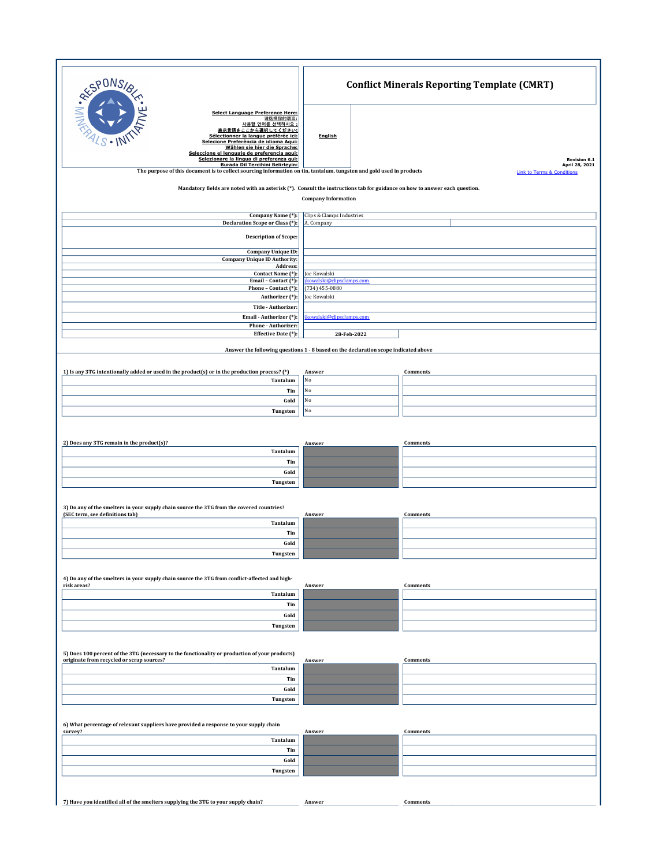| <b>RESPONS</b>                                                                                                                                                                                                    | <b>Conflict Minerals Reporting Template (CMRT)</b>                                  |                                                         |  |  |
|-------------------------------------------------------------------------------------------------------------------------------------------------------------------------------------------------------------------|-------------------------------------------------------------------------------------|---------------------------------------------------------|--|--|
| <b>Select Language Preference Here:</b><br>请选择你的语言:<br>사용할 언어를 선택하시오 :<br>をここから選択してください:<br>表示言言<br>Sélectionner la langue préférée ici:<br>Selecione Preferência de idioma Aqui:<br>Wählen sie hier die Sprache: | English                                                                             |                                                         |  |  |
| Seleccione el lenguaje de preferencia aqui:<br>Selezionare la lingua di preferenza qui:                                                                                                                           |                                                                                     | <b>Revision 6.1</b>                                     |  |  |
| Burada Dil Tercihini Belirleyin:<br>The purpose of this document is to collect sourcing information on tin, tantalum, tungsten and gold used in products                                                          |                                                                                     | April 28, 2021<br><b>Link to Terms &amp; Conditions</b> |  |  |
|                                                                                                                                                                                                                   |                                                                                     |                                                         |  |  |
| Mandatory fields are noted with an asterisk (*). Consult the instructions tab for guidance on how to answer each question.<br><b>Company Information</b>                                                          |                                                                                     |                                                         |  |  |
| Company Name (*):<br>Declaration Scope or Class (*):                                                                                                                                                              | Clips & Clamps Industries<br>A. Company                                             |                                                         |  |  |
|                                                                                                                                                                                                                   |                                                                                     |                                                         |  |  |
| <b>Description of Scope:</b>                                                                                                                                                                                      |                                                                                     |                                                         |  |  |
| <b>Company Unique ID:</b><br><b>Company Unique ID Authority:</b><br>Address:                                                                                                                                      |                                                                                     |                                                         |  |  |
| Contact Name (*):<br>Email - Contact (*):                                                                                                                                                                         | Joe Kowalski<br>jkowalski@clipsclamps.com                                           |                                                         |  |  |
| Phone - Contact (*):                                                                                                                                                                                              | $(734)$ 455-0880<br>Joe Kowalski                                                    |                                                         |  |  |
| Authorizer (*):<br>Title - Authorizer:                                                                                                                                                                            |                                                                                     |                                                         |  |  |
| Email - Authorizer (*):                                                                                                                                                                                           | jkowalski@clipsclamps.com                                                           |                                                         |  |  |
| Phone - Authorizer:                                                                                                                                                                                               |                                                                                     |                                                         |  |  |
| Effective Date (*):                                                                                                                                                                                               | 28-Feb-2022                                                                         |                                                         |  |  |
|                                                                                                                                                                                                                   | Answer the following questions 1 - 8 based on the declaration scope indicated above |                                                         |  |  |
|                                                                                                                                                                                                                   |                                                                                     |                                                         |  |  |
| 1) Is any 3TG intentionally added or used in the product(s) or in the production process? (*)<br>Tantalum                                                                                                         | Answer<br>No                                                                        | Comments                                                |  |  |
| Tin                                                                                                                                                                                                               | No                                                                                  |                                                         |  |  |
| Gold                                                                                                                                                                                                              | No                                                                                  |                                                         |  |  |
| Tungsten                                                                                                                                                                                                          | No                                                                                  |                                                         |  |  |
|                                                                                                                                                                                                                   |                                                                                     |                                                         |  |  |
|                                                                                                                                                                                                                   |                                                                                     |                                                         |  |  |
| 2) Does any 3TG remain in the product(s)?<br>Tantalum                                                                                                                                                             | Answer                                                                              | Comments                                                |  |  |
| Tin                                                                                                                                                                                                               |                                                                                     |                                                         |  |  |
| Gold                                                                                                                                                                                                              |                                                                                     |                                                         |  |  |
| Tungsten                                                                                                                                                                                                          |                                                                                     |                                                         |  |  |
|                                                                                                                                                                                                                   |                                                                                     |                                                         |  |  |
| 3) Do any of the smelters in your supply chain source the 3TG from the covered countries?                                                                                                                         |                                                                                     |                                                         |  |  |
| (SEC term, see definitions tab)<br>Tantalum                                                                                                                                                                       | Answer                                                                              | Comments                                                |  |  |
| Tin                                                                                                                                                                                                               |                                                                                     |                                                         |  |  |
| Gold                                                                                                                                                                                                              |                                                                                     |                                                         |  |  |
| Tungsten                                                                                                                                                                                                          |                                                                                     |                                                         |  |  |
|                                                                                                                                                                                                                   |                                                                                     |                                                         |  |  |
| 4) Do any of the smelters in your supply chain source the 3TG from conflict-affected and high-<br>risk areas?                                                                                                     | Answer                                                                              |                                                         |  |  |
| Tantalum                                                                                                                                                                                                          |                                                                                     | Comments                                                |  |  |
| Tin                                                                                                                                                                                                               |                                                                                     |                                                         |  |  |
| Gold                                                                                                                                                                                                              |                                                                                     |                                                         |  |  |
| Tungsten                                                                                                                                                                                                          |                                                                                     |                                                         |  |  |
|                                                                                                                                                                                                                   |                                                                                     |                                                         |  |  |
| 5) Does 100 percent of the 3TG (necessary to the functionality or production of your products)                                                                                                                    |                                                                                     |                                                         |  |  |
| originate from recycled or scrap sources?<br>Tantalum                                                                                                                                                             | Answer                                                                              | Comments                                                |  |  |
| Tin                                                                                                                                                                                                               |                                                                                     |                                                         |  |  |
| Gold                                                                                                                                                                                                              |                                                                                     |                                                         |  |  |
| Tungsten                                                                                                                                                                                                          |                                                                                     |                                                         |  |  |
|                                                                                                                                                                                                                   |                                                                                     |                                                         |  |  |
| 6) What percentage of relevant suppliers have provided a response to your supply chain                                                                                                                            |                                                                                     |                                                         |  |  |
| survey?<br>Tantalum                                                                                                                                                                                               | Answer                                                                              | Comments                                                |  |  |
| Tin                                                                                                                                                                                                               |                                                                                     |                                                         |  |  |
| Gold                                                                                                                                                                                                              |                                                                                     |                                                         |  |  |
| Tungsten                                                                                                                                                                                                          |                                                                                     |                                                         |  |  |
|                                                                                                                                                                                                                   |                                                                                     |                                                         |  |  |
|                                                                                                                                                                                                                   |                                                                                     |                                                         |  |  |
| 7) Have you identified all of the smelters supplying the 3TG to your supply chain?                                                                                                                                | Answer                                                                              | Comments                                                |  |  |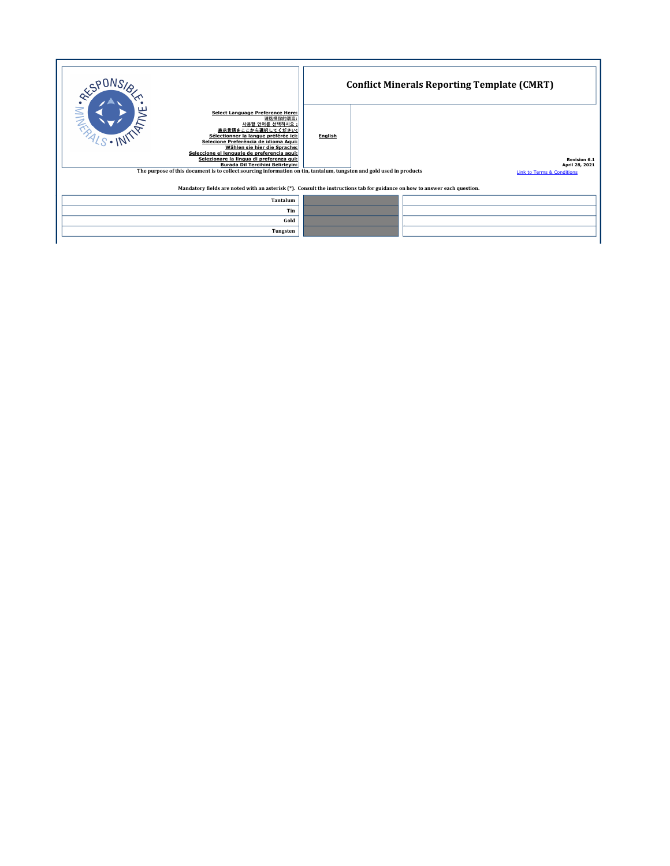|                                                                                                                                                                                                                                                                                                                                                                                                                                                                                             | <b>Conflict Minerals Reporting Template (CMRT)</b> |  |                                                                                |  |  |
|---------------------------------------------------------------------------------------------------------------------------------------------------------------------------------------------------------------------------------------------------------------------------------------------------------------------------------------------------------------------------------------------------------------------------------------------------------------------------------------------|----------------------------------------------------|--|--------------------------------------------------------------------------------|--|--|
| <b>MINES</b><br><b>Select Language Preference Here:</b><br>请选择你的语言:<br>사용할 언어를 선택하시오 :<br>表示言語をここから選択してください:<br>Sélectionner la langue préférée ici:<br>Selecione Preferência de idioma Agui:<br>Wählen sie hier die Sprache:<br>Seleccione el lenguaie de preferencia agui:<br>Selezionare la lingua di preferenza qui:<br><b>Burada Dil Tercihini Belirlevin:</b><br>The purpose of this document is to collect sourcing information on tin, tantalum, tungsten and gold used in products | <b>English</b>                                     |  | <b>Revision 6.1</b><br>April 28, 2021<br><b>Link to Terms &amp; Conditions</b> |  |  |
| Mandatory fields are noted with an asterisk (*). Consult the instructions tab for guidance on how to answer each question.                                                                                                                                                                                                                                                                                                                                                                  |                                                    |  |                                                                                |  |  |
| Tantalum                                                                                                                                                                                                                                                                                                                                                                                                                                                                                    |                                                    |  |                                                                                |  |  |
| Tin                                                                                                                                                                                                                                                                                                                                                                                                                                                                                         |                                                    |  |                                                                                |  |  |
| Gold                                                                                                                                                                                                                                                                                                                                                                                                                                                                                        |                                                    |  |                                                                                |  |  |
| Tungsten                                                                                                                                                                                                                                                                                                                                                                                                                                                                                    |                                                    |  |                                                                                |  |  |